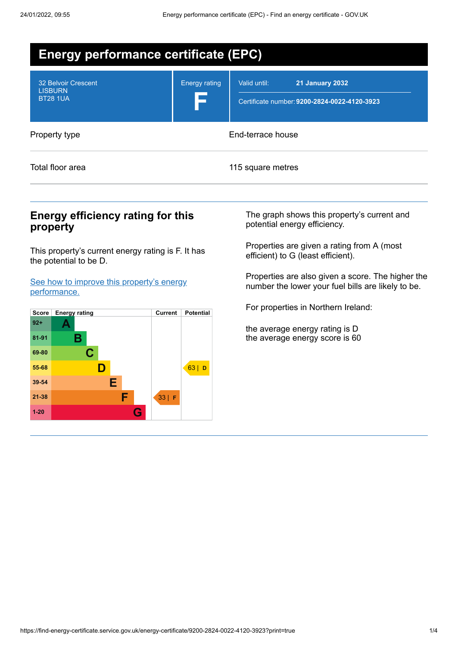| <b>Energy performance certificate (EPC)</b>              |                      |                                                                                        |  |  |
|----------------------------------------------------------|----------------------|----------------------------------------------------------------------------------------|--|--|
| 32 Belvoir Crescent<br><b>LISBURN</b><br><b>BT28 1UA</b> | <b>Energy rating</b> | Valid until:<br><b>21 January 2032</b><br>Certificate number: 9200-2824-0022-4120-3923 |  |  |
| Property type                                            | End-terrace house    |                                                                                        |  |  |
| Total floor area                                         | 115 square metres    |                                                                                        |  |  |

# **Energy efficiency rating for this property**

This property's current energy rating is F. It has the potential to be D.

See how to improve this property's energy [performance.](#page-2-0)



The graph shows this property's current and potential energy efficiency.

Properties are given a rating from A (most efficient) to G (least efficient).

Properties are also given a score. The higher the number the lower your fuel bills are likely to be.

For properties in Northern Ireland:

the average energy rating is D the average energy score is 60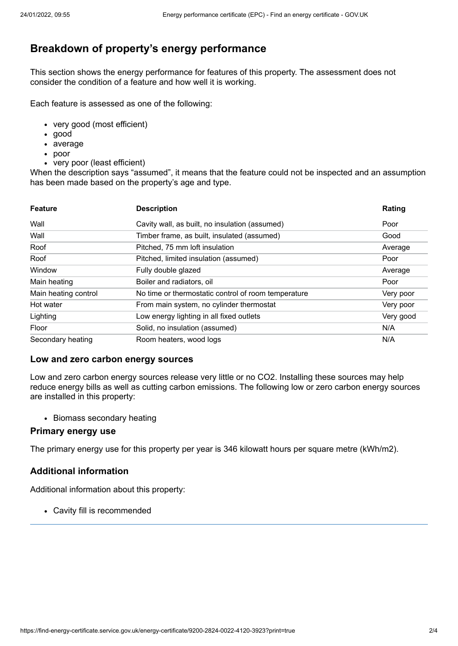# **Breakdown of property's energy performance**

This section shows the energy performance for features of this property. The assessment does not consider the condition of a feature and how well it is working.

Each feature is assessed as one of the following:

- very good (most efficient)
- good
- average
- poor
- very poor (least efficient)

When the description says "assumed", it means that the feature could not be inspected and an assumption has been made based on the property's age and type.

| <b>Feature</b>       | <b>Description</b>                                  | Rating    |
|----------------------|-----------------------------------------------------|-----------|
| Wall                 | Cavity wall, as built, no insulation (assumed)      | Poor      |
| Wall                 | Timber frame, as built, insulated (assumed)         | Good      |
| Roof                 | Pitched, 75 mm loft insulation                      | Average   |
| Roof                 | Pitched, limited insulation (assumed)               | Poor      |
| Window               | Fully double glazed                                 | Average   |
| Main heating         | Boiler and radiators, oil                           | Poor      |
| Main heating control | No time or thermostatic control of room temperature | Very poor |
| Hot water            | From main system, no cylinder thermostat            | Very poor |
| Lighting             | Low energy lighting in all fixed outlets            | Very good |
| Floor                | Solid, no insulation (assumed)                      | N/A       |
| Secondary heating    | Room heaters, wood logs                             | N/A       |

#### **Low and zero carbon energy sources**

Low and zero carbon energy sources release very little or no CO2. Installing these sources may help reduce energy bills as well as cutting carbon emissions. The following low or zero carbon energy sources are installed in this property:

• Biomass secondary heating

#### **Primary energy use**

The primary energy use for this property per year is 346 kilowatt hours per square metre (kWh/m2).

### **Additional information**

Additional information about this property:

Cavity fill is recommended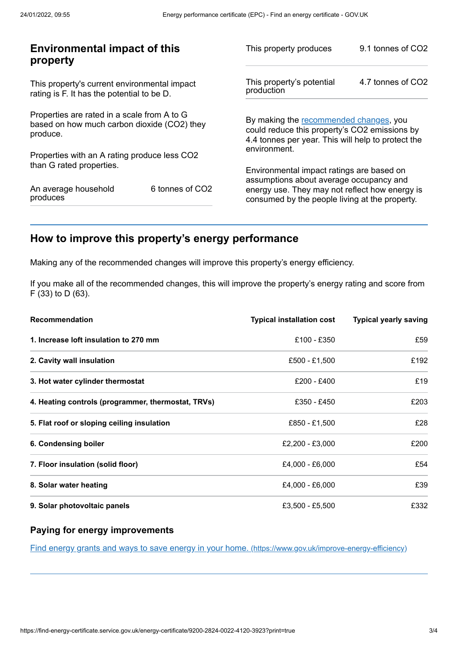| <b>Environmental impact of this</b><br>property                                                        |                 | This property produces                                                                                                                        | 9.1 tonnes of CO2 |
|--------------------------------------------------------------------------------------------------------|-----------------|-----------------------------------------------------------------------------------------------------------------------------------------------|-------------------|
| This property's current environmental impact<br>rating is F. It has the potential to be D.             |                 | This property's potential<br>production                                                                                                       | 4.7 tonnes of CO2 |
| Properties are rated in a scale from A to G<br>based on how much carbon dioxide (CO2) they<br>produce. |                 | By making the recommended changes, you<br>could reduce this property's CO2 emissions by<br>4.4 tonnes per year. This will help to protect the |                   |
| Properties with an A rating produce less CO2                                                           |                 | environment.                                                                                                                                  |                   |
| than G rated properties.                                                                               |                 | Environmental impact ratings are based on<br>assumptions about average occupancy and                                                          |                   |
| An average household<br>produces                                                                       | 6 tonnes of CO2 | energy use. They may not reflect how energy is<br>consumed by the people living at the property.                                              |                   |
|                                                                                                        |                 |                                                                                                                                               |                   |

# <span id="page-2-0"></span>**How to improve this property's energy performance**

Making any of the recommended changes will improve this property's energy efficiency.

If you make all of the recommended changes, this will improve the property's energy rating and score from F (33) to D (63).

| <b>Recommendation</b>                              | <b>Typical installation cost</b> | <b>Typical yearly saving</b> |
|----------------------------------------------------|----------------------------------|------------------------------|
| 1. Increase loft insulation to 270 mm              | £100 - £350                      | £59                          |
| 2. Cavity wall insulation                          | £500 - £1,500                    | £192                         |
| 3. Hot water cylinder thermostat                   | £200 - £400                      | £19                          |
| 4. Heating controls (programmer, thermostat, TRVs) | £350 - £450                      | £203                         |
| 5. Flat roof or sloping ceiling insulation         | £850 - £1,500                    | £28                          |
| 6. Condensing boiler                               | £2,200 - £3,000                  | £200                         |
| 7. Floor insulation (solid floor)                  | £4,000 - £6,000                  | £54                          |
| 8. Solar water heating                             | £4,000 - £6,000                  | £39                          |
| 9. Solar photovoltaic panels                       | £3.500 - £5.500                  | £332                         |

### **Paying for energy improvements**

Find energy grants and ways to save energy in your home. [\(https://www.gov.uk/improve-energy-efficiency\)](https://www.gov.uk/improve-energy-efficiency)